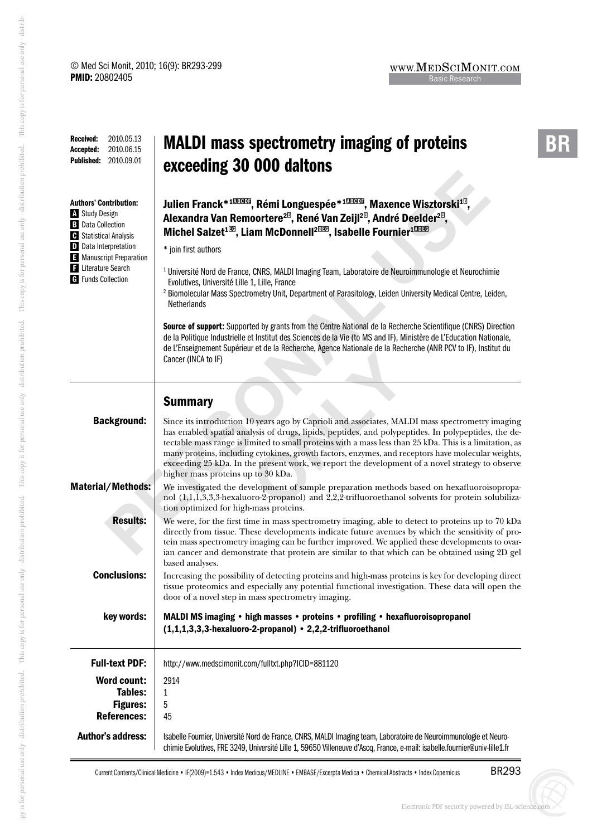**-**

| Received:<br>2010.05.13<br>2010.06.15<br>Accepted:<br>Published:<br>2010.09.01                                                                                                                                                  | <b>MALDI</b> mass spectrometry imaging of proteins<br>exceeding 30 000 daltons                                                                                                                                                                                                                                                                                                                                                                                                                                                                                                                                                                                                                                                                                                                                                                                                                                                                                                                                                                          |  |  |
|---------------------------------------------------------------------------------------------------------------------------------------------------------------------------------------------------------------------------------|---------------------------------------------------------------------------------------------------------------------------------------------------------------------------------------------------------------------------------------------------------------------------------------------------------------------------------------------------------------------------------------------------------------------------------------------------------------------------------------------------------------------------------------------------------------------------------------------------------------------------------------------------------------------------------------------------------------------------------------------------------------------------------------------------------------------------------------------------------------------------------------------------------------------------------------------------------------------------------------------------------------------------------------------------------|--|--|
| Authors' Contribution:<br><b>Study Design</b><br><b>B</b> Data Collection<br><b>C</b> Statistical Analysis<br><b>D</b> Data Interpretation<br>Manuscript Preparation<br><b>E</b> Literature Search<br><b>G</b> Funds Collection | Julien Franck* <sup>103003</sup> , Rémi Longuespée* <sup>103003</sup> , Maxence Wisztorski <sup>18</sup> ,<br>Alexandra Van Remoortere <sup>2®</sup> , René Van Zeijl <sup>2®</sup> , André Deelder <sup>2®</sup> ,<br>Michel Salzet <sup>133</sup> , Liam McDonnell <sup>2033</sup> , Isabelle Fournier <sup>18033</sup><br>* join first authors<br><sup>1</sup> Université Nord de France, CNRS, MALDI Imaging Team, Laboratoire de Neuroimmunologie et Neurochimie<br>Evolutives, Université Lille 1, Lille, France<br><sup>2</sup> Biomolecular Mass Spectrometry Unit, Department of Parasitology, Leiden University Medical Centre, Leiden,<br><b>Netherlands</b><br>Source of support: Supported by grants from the Centre National de la Recherche Scientifique (CNRS) Direction<br>de la Politique Industrielle et Institut des Sciences de la Vie (to MS and IF), Ministère de L'Education Nationale,<br>de L'Enseignement Supérieur et de la Recherche, Agence Nationale de la Recherche (ANR PCV to IF), Institut du<br>Cancer (INCA to IF) |  |  |
|                                                                                                                                                                                                                                 | <b>Summary</b>                                                                                                                                                                                                                                                                                                                                                                                                                                                                                                                                                                                                                                                                                                                                                                                                                                                                                                                                                                                                                                          |  |  |
| <b>Background:</b>                                                                                                                                                                                                              | Since its introduction 10 years ago by Caprioli and associates, MALDI mass spectrometry imaging<br>has enabled spatial analysis of drugs, lipids, peptides, and polypeptides. In polypeptides, the de-<br>tectable mass range is limited to small proteins with a mass less than 25 kDa. This is a limitation, as<br>many proteins, including cytokines, growth factors, enzymes, and receptors have molecular weights,<br>exceeding 25 kDa. In the present work, we report the development of a novel strategy to observe<br>higher mass proteins up to 30 kDa.                                                                                                                                                                                                                                                                                                                                                                                                                                                                                        |  |  |
| Material/Methods:                                                                                                                                                                                                               | We investigated the development of sample preparation methods based on hexafluoroisopropa-<br>nol (1,1,1,3,3,3-hexaluoro-2-propanol) and 2,2,2-trifluoroethanol solvents for protein solubiliza-<br>tion optimized for high-mass proteins.                                                                                                                                                                                                                                                                                                                                                                                                                                                                                                                                                                                                                                                                                                                                                                                                              |  |  |
| <b>Results:</b>                                                                                                                                                                                                                 | We were, for the first time in mass spectrometry imaging, able to detect to proteins up to 70 kDa<br>directly from tissue. These developments indicate future avenues by which the sensitivity of pro-<br>tein mass spectrometry imaging can be further improved. We applied these developments to ovar-<br>ian cancer and demonstrate that protein are similar to that which can be obtained using 2D gel<br>based analyses.                                                                                                                                                                                                                                                                                                                                                                                                                                                                                                                                                                                                                           |  |  |
| <b>Conclusions:</b>                                                                                                                                                                                                             | Increasing the possibility of detecting proteins and high-mass proteins is key for developing direct<br>tissue proteomics and especially any potential functional investigation. These data will open the<br>door of a novel step in mass spectrometry imaging.                                                                                                                                                                                                                                                                                                                                                                                                                                                                                                                                                                                                                                                                                                                                                                                         |  |  |
| key words:                                                                                                                                                                                                                      | MALDI MS imaging • high masses • proteins • profiling • hexafluoroisopropanol<br>(1,1,1,3,3,3-hexaluoro-2-propanol) • 2,2,2-trifluoroethanol                                                                                                                                                                                                                                                                                                                                                                                                                                                                                                                                                                                                                                                                                                                                                                                                                                                                                                            |  |  |
| <b>Full-text PDF:</b>                                                                                                                                                                                                           | http://www.medscimonit.com/fulltxt.php?ICID=881120                                                                                                                                                                                                                                                                                                                                                                                                                                                                                                                                                                                                                                                                                                                                                                                                                                                                                                                                                                                                      |  |  |
| <b>Word count:</b><br>Tables:<br><b>Figures:</b><br><b>References:</b>                                                                                                                                                          | 2914<br>1<br>5<br>45                                                                                                                                                                                                                                                                                                                                                                                                                                                                                                                                                                                                                                                                                                                                                                                                                                                                                                                                                                                                                                    |  |  |
| <b>Author's address:</b>                                                                                                                                                                                                        | Isabelle Fournier, Université Nord de France, CNRS, MALDI Imaging team, Laboratoire de Neuroimmunologie et Neuro-<br>chimie Evolutives, FRE 3249, Université Lille 1, 59650 Villeneuve d'Ascq, France, e-mail: isabelle.fournier@univ-lille1.fr                                                                                                                                                                                                                                                                                                                                                                                                                                                                                                                                                                                                                                                                                                                                                                                                         |  |  |

Current Contents/Clinical Medicine • IF(2009)=1.543 • Index Medicus/MEDLINE • EMBASE/Excerpta Medica • Chemical Abstracts • Index Copernicus

BR293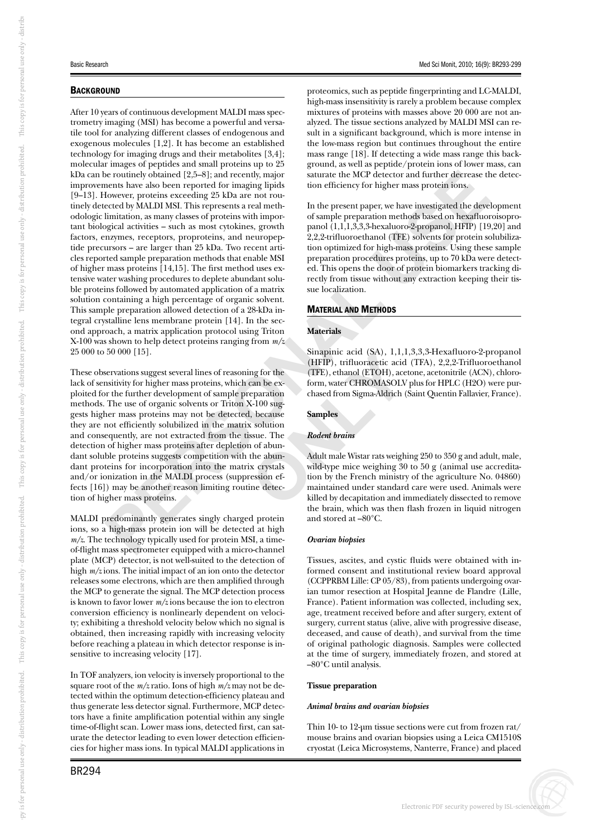# **BACKGROUND**

After 10 years of continuous development MALDI mass spectrometry imaging (MSI) has become a powerful and versatile tool for analyzing different classes of endogenous and exogenous molecules [1,2]. It has become an established technology for imaging drugs and their metabolites [3,4]; molecular images of peptides and small proteins up to 25 kDa can be routinely obtained [2,5–8]; and recently, major improvements have also been reported for imaging lipids [9–13]. However, proteins exceeding 25 kDa are not routinely detected by MALDI MSI. This represents a real methodologic limitation, as many classes of proteins with important biological activities – such as most cytokines, growth factors, enzymes, receptors, proproteins, and neuropeptide precursors – are larger than 25 kDa. Two recent articles reported sample preparation methods that enable MSI of higher mass proteins [14,15]. The first method uses extensive water washing procedures to deplete abundant soluble proteins followed by automated application of a matrix solution containing a high percentage of organic solvent. This sample preparation allowed detection of a 28-kDa integral crystalline lens membrane protein [14]. In the second approach, a matrix application protocol using Triton X-100 was shown to help detect proteins ranging from *m/z* 25 000 to 50 000 [15].

ing procedures to deplete abundant solumered by accomplication of a matrix<br>
ang a high percentage of organic solvent.<br>
ang a high percentage of organic solvent.<br>
Anterials<br>
and allowed detection of a 28-kDa in-<br>
have been These observations suggest several lines of reasoning for the lack of sensitivity for higher mass proteins, which can be exploited for the further development of sample preparation methods. The use of organic solvents or Triton X-100 suggests higher mass proteins may not be detected, because they are not efficiently solubilized in the matrix solution and consequently, are not extracted from the tissue. The detection of higher mass proteins after depletion of abundant soluble proteins suggests competition with the abundant proteins for incorporation into the matrix crystals and/or ionization in the MALDI process (suppression effects [16]) may be another reason limiting routine detection of higher mass proteins.

gner mass prote<br>bredominantly <sub>{</sub><br>high-mass pro<br>technology typi<br>mass spectromet MALDI predominantly generates singly charged protein ions, so a high-mass protein ion will be detected at high *m/z*. The technology typically used for protein MSI, a timeof-flight mass spectrometer equipped with a micro-channel plate (MCP) detector, is not well-suited to the detection of high *m/z* ions. The initial impact of an ion onto the detector releases some electrons, which are then amplified through the MCP to generate the signal. The MCP detection process is known to favor lower *m/z* ions because the ion to electron conversion efficiency is nonlinearly dependent on velocity; exhibiting a threshold velocity below which no signal is obtained, then increasing rapidly with increasing velocity before reaching a plateau in which detector response is insensitive to increasing velocity [17].

In TOF analyzers, ion velocity is inversely proportional to the square root of the *m/z* ratio. Ions of high *m/z* may not be detected within the optimum detection-efficiency plateau and thus generate less detector signal. Furthermore, MCP detectors have a finite amplification potential within any single time-of-flight scan. Lower mass ions, detected first, can saturate the detector leading to even lower detection efficiencies for higher mass ions. In typical MALDI applications in proteomics, such as peptide fingerprinting and LC-MALDI, high-mass insensitivity is rarely a problem because complex mixtures of proteins with masses above 20 000 are not analyzed. The tissue sections analyzed by MALDI MSI can result in a significant background, which is more intense in the low-mass region but continues throughout the entire mass range [18]. If detecting a wide mass range this background, as well as peptide/protein ions of lower mass, can saturate the MCP detector and further decrease the detection efficiency for higher mass protein ions.

detector and further decrease the<br>r higher mass protein ions.<br>per, we have investigated the devel<br>ation methods based on hexafluor-hexaluoro-2-propanol, HFIP) [19<br>anol (TFE) solvents for protein sc<br>or high-mass proteins. U In the present paper, we have investigated the development of sample preparation methods based on hexafluoroisopropanol (1,1,1,3,3,3-hexaluoro-2-propanol, HFIP) [19,20] and 2,2,2-trifluoroethanol (TFE) solvents for protein solubilization optimized for high-mass proteins. Using these sample preparation procedures proteins, up to 70 kDa were detected. This opens the door of protein biomarkers tracking directly from tissue without any extraction keeping their tissue localization.

# MATERIAL AND METHODS

## **Materials**

Sinapinic acid (SA), 1,1,1,3,3,3-Hexafluoro-2-propanol (HFIP), trifluoracetic acid (TFA), 2,2,2-Trifluoroethanol (TFE), ethanol (ETOH), acetone, acetonitrile (ACN), chloroform, water CHROMASOLV plus for HPLC (H2O) were purchased from Sigma-Aldrich (Saint Quentin Fallavier, France).

## **Samples**

## *Rodent brains*

Sinaphic acid (SA), 1,1,1<br>
(HFIP), trifluoracetic acid<br>
(TFE), ethanol (ETOH), ace<br>
can be ex-<br>
form, water CHROMASOLV<br>
chased from Sigma-Aldrich (<br>
4-100 sug-<br>
, because<br> **Samples**<br>
x solution<br>
ssue. The<br> **Rodent brains**<br> Adult male Wistar rats weighing 250 to 350 g and adult, male, wild-type mice weighing 30 to 50 g (animal use accreditation by the French ministry of the agriculture No. 04860) maintained under standard care were used. Animals were killed by decapitation and immediately dissected to remove the brain, which was then flash frozen in liquid nitrogen and stored at –80°C.

## *Ovarian biopsies*

Tissues, ascites, and cystic fluids were obtained with informed consent and institutional review board approval (CCPPRBM Lille: CP 05/83), from patients undergoing ovarian tumor resection at Hospital Jeanne de Flandre (Lille, France). Patient information was collected, including sex, age, treatment received before and after surgery, extent of surgery, current status (alive, alive with progressive disease, deceased, and cause of death), and survival from the time of original pathologic diagnosis. Samples were collected at the time of surgery, immediately frozen, and stored at –80°C until analysis.

#### **Tissue preparation**

#### *Animal brains and ovarian biopsies*

Thin 10- to 12-μm tissue sections were cut from frozen rat/ mouse brains and ovarian biopsies using a Leica CM1510S cryostat (Leica Microsystems, Nanterre, France) and placed

i Kdi

s for personal use only - di

buti

on prohibi

ted. Thi

s copy i

s for personal use only - di

stri buti

on prohibi

ted. Thi

s copy i

s for personal use only - di

stri buti

on prohibi

ted. Thi

s copy i

s for personal use only - di

buti

on prohibi

ted. Thi

s copy i

s for personal use only - di

stribi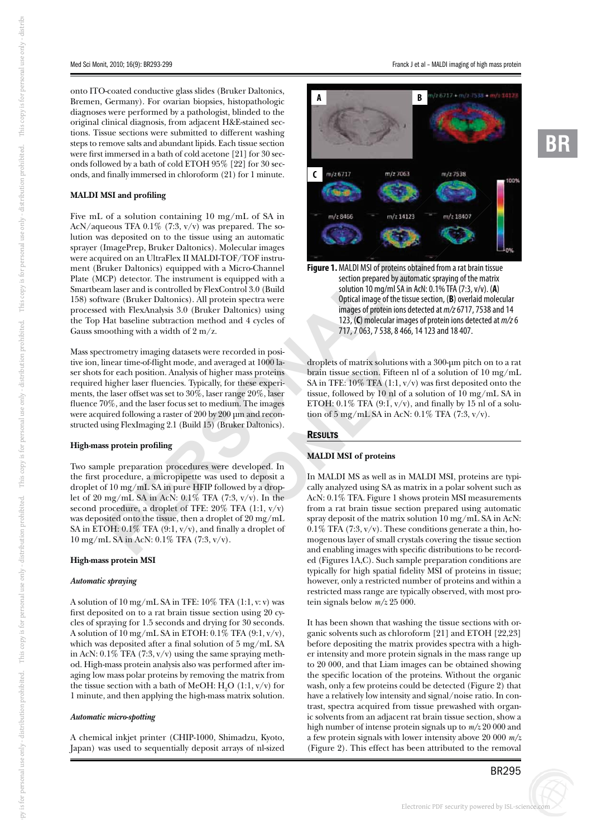onto ITO-coated conductive glass slides (Bruker Daltonics, Bremen, Germany). For ovarian biopsies, histopathologic diagnoses were performed by a pathologist, blinded to the original clinical diagnosis, from adjacent H&E-stained sections. Tissue sections were submitted to different washing steps to remove salts and abundant lipids. Each tissue section were first immersed in a bath of cold acetone [21] for 30 seconds followed by a bath of cold ETOH 95% [22] for 30 seconds, and finally immersed in chloroform (21) for 1 minute.

## **MALDI MSI and profiling**

Five mL of a solution containing 10 mg/mL of SA in AcN/aqueous TFA 0.1% (7:3,  $v/v$ ) was prepared. The solution was deposited on to the tissue using an automatic sprayer (ImagePrep, Bruker Daltonics). Molecular images were acquired on an UltraFlex II MALDI-TOF/TOF instrument (Bruker Daltonics) equipped with a Micro-Channel Plate (MCP) detector. The instrument is equipped with a Smartbeam laser and is controlled by FlexControl 3.0 (Build 158) software (Bruker Daltonics). All protein spectra were processed with FlexAnalysis 3.0 (Bruker Daltonics) using the Top Hat baseline subtraction method and 4 cycles of Gauss smoothing with a width of 2 m/z.

cctor. The instrument is equipped with a<br>
unker Daltonics). All protein spectra were<br>
lex<br>
and is controlled by FlexControl 3.0 (Build<br>
uker Daltonics). All protein spectra were<br>  $\frac{1}{2}$  of the exhausts 3.0 (Bruker Dalto Mass spectrometry imaging datasets were recorded in positive ion, linear time-of-flight mode, and averaged at 1000 laser shots for each position. Analysis of higher mass proteins required higher laser fluencies. Typically, for these experiments, the laser offset was set to 30%, laser range 20%, laser fluence 70%, and the laser focus set to medium. The images were acquired following a raster of 200 by 200 μm and reconstructed using FlexImaging 2.1 (Build 15) (Bruker Daltonics).

## **High-mass protein profiling**

mg/ inf. 3A in 1<br>
rocedure, a drc<br>
sited onto the ti<br>
OH: 0.1% TFA<br>
L SA in AcN: 0. Two sample preparation procedures were developed. In the first procedure, a micropipette was used to deposit a droplet of 10 mg/mL SA in pure HFIP followed by a droplet of 20 mg/mL SA in AcN: 0.1% TFA (7:3, v/v). In the second procedure, a droplet of TFE:  $20\%$  TFA (1:1,  $v/v$ ) was deposited onto the tissue, then a droplet of 20 mg/mL SA in ETOH:  $0.1\%$  TFA (9:1, v/v), and finally a droplet of 10 mg/mL SA in AcN: 0.1% TFA (7:3, v/v).

#### **High-mass protein MSI**

#### *Automatic spraying*

A solution of 10 mg/mL SA in TFE: 10% TFA (1:1, v: v) was first deposited on to a rat brain tissue section using 20 cycles of spraying for 1.5 seconds and drying for 30 seconds. A solution of 10 mg/mL SA in ETOH: 0.1% TFA (9:1, v/v), which was deposited after a final solution of 5 mg/mL SA in AcN:  $0.1\%$  TFA (7:3, v/v) using the same spraying method. High-mass protein analysis also was performed after imaging low mass polar proteins by removing the matrix from the tissue section with a bath of MeOH:  $H_2O(1:1, v/v)$  for 1 minute, and then applying the high-mass matrix solution.

#### *Automatic micro-spotting*

A chemical inkjet printer (CHIP-1000, Shimadzu, Kyoto, Japan) was used to sequentially deposit arrays of nl-sized



**Figure 1.** MALDI MSL of proteins obtained from a rat brain tissue section prepared by automatic spraying of the matrix solution 10 mg/ml SA in AcN: 0.1% TFA (7:3, v/v). ( **A**) Optical image of the tissue section, ( **B**) overlaid molecular images of protein ions detected at m/z 6717, 7538 and 14 123, ( **C**) molecular images of protein ions detected at m/z 6 717, 7 063, 7 538, 8 466, 14 123 and 18 407.

d in position and the diversion of the diversion of the diversion of the magnetic server that issue section. Fifteen<br>
se experiment SA in TFE: 10% TFA (1:1, v, 00%, laser tissue, followed by 10 nl of he images and the dive droplets of matrix solutions with a 300-μm pitch on to a rat brain tissue section. Fifteen nl of a solution of 10 mg/mL SA in TFE:  $10\%$  TFA (1:1, v/v) was first deposited onto the tissue, followed by 10 nl of a solution of 10 mg/mL SA in ETOH:  $0.1\%$  TFA (9:1, v/v), and finally by 15 nl of a solution of  $5 \text{ mg/mL}$  SA in AcN:  $0.1\%$  TFA  $(7:3, v/v)$ .

## RESULTS

#### **MALDI MSI of proteins**

In MALDI MS as well as in MALDI MSI, proteins are typically analyzed using SA as matrix in a polar solvent such as AcN: 0.1% TFA. Figure 1 shows protein MSI measurements from a rat brain tissue section prepared using automatic spray deposit of the matrix solution 10 mg/mL SA in AcN:  $0.1\%$  TFA (7:3, v/v). These conditions generate a thin, homogenous layer of small crystals covering the tissue section and enabling images with specific distributions to be recorded (Figures 1A,C). Such sample preparation conditions are typically for high spatial fidelity MSI of proteins in tissue; however, only a restricted number of proteins and within a restricted mass range are typically observed, with most protein signals below *m/z* 25 000.

It has been shown that washing the tissue sections with organic solvents such as chloroform [21] and ETOH [22,23] before depositing the matrix provides spectra with a higher intensity and more protein signals in the mass range up to 20 000, and that Liam images can be obtained showing the specific location of the proteins. Without the organic wash, only a few proteins could be detected (Figure 2) that have a relatively low intensity and signal/noise ratio. In contrast, spectra acquired from tissue prewashed with organic solvents from an adjacent rat brain tissue section, show a high number of intense protein signals up to *m/z* 20 000 and a few protein signals with lower intensity above 20 000 *m/z* (Figure 2). This effect has been attributed to the removal

s copy i

s for personal use only - di

stribi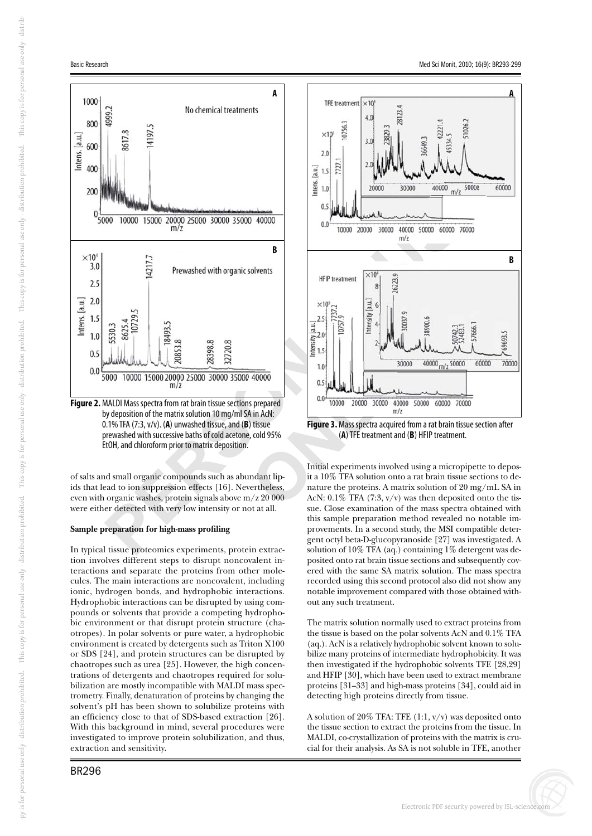

**Figure 2.** MALDI Mass spectra from rat brain tissue sections prepared by deposition of the matrix solution 10 mg/ml SA in AcN: 0.1% TFA (7:3, v/v). ( **A**) unwashed tissue, and ( **B**) tissue prewashed with successive baths of cold acetone, cold 95% EtOH, and chloroform prior to matrix deposition.

Free titler detected with very low intensity or not at all.<br> **Sample preparation for high-mass profiling**<br>
In typical tissue proteomics experiments, protein extracof salts and small organic compounds such as abundant lipids that lead to ion suppression effects [16]. Nevertheless, even with organic washes, protein signals above m/z 20 000 were either detected with very low intensity or not at all.

## **Sample preparation for high-mass profiling**

tion involves different steps to disrupt noncovalent interactions and separate the proteins from other molecules. The main interactions are noncovalent, including ionic, hydrogen bonds, and hydrophobic interactions. Hydrophobic interactions can be disrupted by using compounds or solvents that provide a competing hydrophobic environment or that disrupt protein structure (chaotropes). In polar solvents or pure water, a hydrophobic environment is created by detergents such as Triton X100 or SDS [24], and protein structures can be disrupted by chaotropes such as urea [25]. However, the high concentrations of detergents and chaotropes required for solubilization are mostly incompatible with MALDI mass spectrometry. Finally, denaturation of proteins by changing the solvent's pH has been shown to solubilize proteins with an efficiency close to that of SDS-based extraction [26]. With this background in mind, several procedures were investigated to improve protein solubilization, and thus, extraction and sensitivity.



Initial experiments involved using a micropipette to deposit a 10% TFA solution onto a rat brain tissue sections to denature the proteins. A matrix solution of 20 mg/mL SA in AcN:  $0.1\%$  TFA (7:3,  $v/v$ ) was then deposited onto the tissue. Close examination of the mass spectra obtained with this sample preparation method revealed no notable improvements. In a second study, the MSI compatible detergent octyl beta-D-glucopyranoside [27] was investigated. A solution of 10% TFA (aq.) containing 1% detergent was deposited onto rat brain tissue sections and subsequently covered with the same SA matrix solution. The mass spectra recorded using this second protocol also did not show any notable improvement compared with those obtained without any such treatment.

The matrix solution normally used to extract proteins from the tissue is based on the polar solvents AcN and 0.1% TFA (aq.). AcN is a relatively hydrophobic solvent known to solubilize many proteins of intermediate hydrophobicity. It was then investigated if the hydrophobic solvents TFE [28,29] and HFIP [30], which have been used to extract membrane proteins [31–33] and high-mass proteins [34], could aid in detecting high proteins directly from tissue.

A solution of 20% TFA: TFE  $(1:1, v/v)$  was deposited onto the tissue section to extract the proteins from the tissue. In MALDI, co-crystallization of proteins with the matrix is crucial for their analysis. As SA is not soluble in TFE, another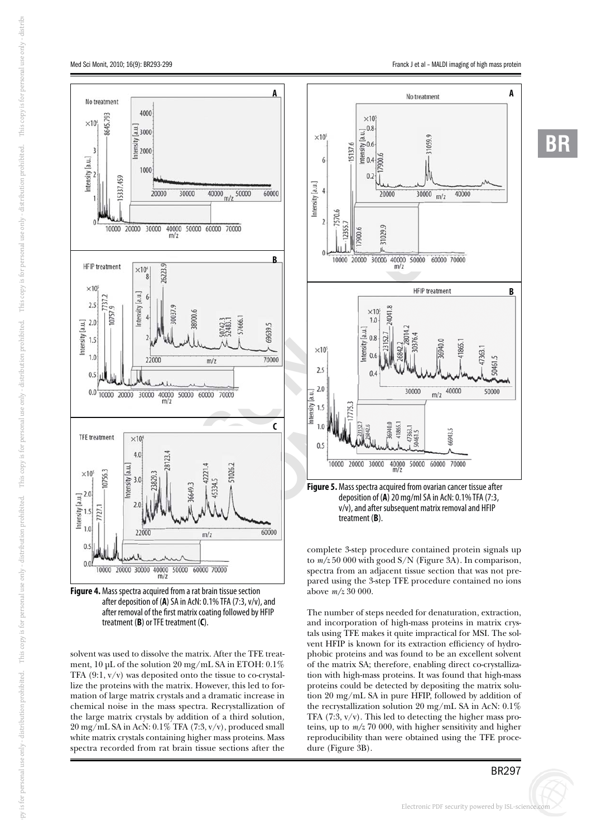

**Figure 4.** Mass spectra acquired from a rat brain tissue section after deposition of ( **A**) SA in AcN: 0.1% TFA (7:3, v/v), and after removal of the first matrix coating followed by HFIP treatment ( **B**) or TFE treatment ( **C**).

solvent was used to dissolve the matrix. After the TFE treatment, 10 μL of the solution 20 mg/mL SA in ETOH: 0.1% TFA (9:1, v/v) was deposited onto the tissue to co-crystallize the proteins with the matrix. However, this led to formation of large matrix crystals and a dramatic increase in chemical noise in the mass spectra. Recrystallization of the large matrix crystals by addition of a third solution, 20 mg/mL SA in AcN: 0.1% TFA (7:3, v/v), produced small white matrix crystals containing higher mass proteins. Mass spectra recorded from rat brain tissue sections after the



v/v), and after subsequent matrix removal and HFIP treatment ( **B**).

complete 3-step procedure contained protein signals up to *m/z* 50 000 with good S/N (Figure 3A). In comparison, spectra from an adjacent tissue section that was not prepared using the 3-step TFE procedure contained no ions above *m/z* 30 000.

The number of steps needed for denaturation, extraction, and incorporation of high-mass proteins in matrix crystals using TFE makes it quite impractical for MSI. The solvent HFIP is known for its extraction efficiency of hydrophobic proteins and was found to be an excellent solvent of the matrix SA; therefore, enabling direct co-crystallization with high-mass proteins. It was found that high-mass proteins could be detected by depositing the matrix solution 20 mg/mL SA in pure HFIP, followed by addition of the recrystallization solution 20 mg/mL SA in AcN: 0.1% TFA  $(7:3, v/v)$ . This led to detecting the higher mass proteins, up to *m/z* 70 000, with higher sensitivity and higher reproducibility than were obtained using the TFE procedure (Figure 3B).

i Kdi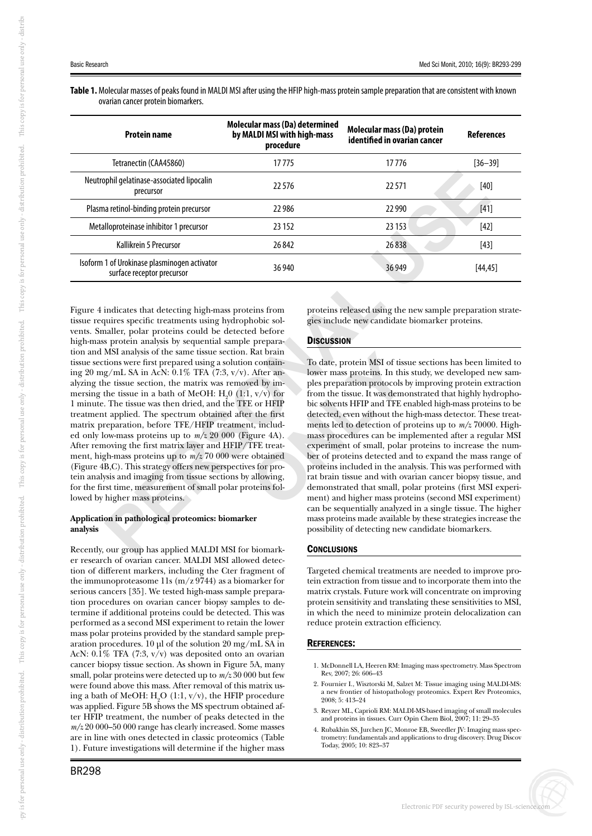**Table 1.** Molecular masses of peaks found in MALDI MSI after using the HFIP high-mass protein sample preparation that are consistent with known ovarian cancer protein biomarkers.

| <b>Protein name</b>                                                        | Molecular mass (Da) determined<br>by MALDI MSI with high-mass<br>procedure | Molecular mass (Da) protein<br>identified in ovarian cancer | <b>References</b> |
|----------------------------------------------------------------------------|----------------------------------------------------------------------------|-------------------------------------------------------------|-------------------|
| Tetranectin (CAA45860)                                                     | 17775                                                                      | 17776                                                       | $[36 - 39]$       |
| Neutrophil gelatinase-associated lipocalin<br>precursor                    | 22576                                                                      | 22571                                                       | $[40]$            |
| Plasma retinol-binding protein precursor                                   | 22986                                                                      | 22 9 90                                                     | $[41]$            |
| Metalloproteinase inhibitor 1 precursor                                    | 23 152                                                                     | 23 153                                                      | $[42]$            |
| Kallikrein 5 Precursor                                                     | 26842                                                                      | 26838                                                       | $[43]$            |
| Isoform 1 of Urokinase plasminogen activator<br>surface receptor precursor | 36 940                                                                     | 36 949                                                      | [44, 45]          |
|                                                                            |                                                                            |                                                             |                   |

Exertion proteins released using the effect treatments using hydrophobic sol-<br>
proteins released using the<br>
ecific treatments using hydrophobic sol-<br>
proteins released using the<br>
are first propared using a solution contain Figure 4 indicates that detecting high-mass proteins from tissue requires specific treatments using hydrophobic solvents. Smaller, polar proteins could be detected before high-mass protein analysis by sequential sample preparation and MSI analysis of the same tissue section. Rat brain tissue sections were first prepared using a solution containing 20 mg/mL SA in AcN: 0.1% TFA (7:3, v/v). After analyzing the tissue section, the matrix was removed by immersing the tissue in a bath of MeOH:  $H_2^0$  (1:1, v/v) for 1 minute. The tissue was then dried, and the TFE or HFIP treatment applied. The spectrum obtained after the first matrix preparation, before TFE/HFIP treatment, included only low-mass proteins up to *m/z* 20 000 (Figure 4A). After removing the first matrix layer and HFIP/TFE treatment, high-mass proteins up to *m/z* 70 000 were obtained (Figure 4B,C). This strategy offers new perspectives for protein analysis and imaging from tissue sections by allowing, for the first time, measurement of small polar proteins followed by higher mass proteins.

# **con** in pathologie<br>
our group has **Application in pathological proteomics: biomarker analysis**

Recently, our group has applied MALDI MSI for biomarker research of ovarian cancer. MALDI MSI allowed detection of different markers, including the Cter fragment of the immunoproteasome 11s  $(m/z 9744)$  as a biomarker for serious cancers [35]. We tested high-mass sample preparation procedures on ovarian cancer biopsy samples to determine if additional proteins could be detected. This was performed as a second MSI experiment to retain the lower mass polar proteins provided by the standard sample preparation procedures. 10 μl of the solution 20 mg/mL SA in AcN: 0.1% TFA (7:3, v/v) was deposited onto an ovarian cancer biopsy tissue section. As shown in Figure 5A, many small, polar proteins were detected up to *m/z* 30 000 but few were found above this mass. After removal of this matrix using a bath of MeOH:  $\text{H}_{2}$ O (1:1, v/v), the HFIP procedure was applied. Figure 5B shows the MS spectrum obtained after HFIP treatment, the number of peaks detected in the *m/z* 20 000–50 000 range has clearly increased. Some masses are in line with ones detected in classic proteomics (Table 1). Future investigations will determine if the higher mass

i Kdi

proteins released using the new sample preparation strategies include new candidate biomarker proteins.

# **DISCUSSION**

Kat brain<br>
n contain-<br>
To date, protein MSI of tiss<br>
After an-<br>
lower mass proteins. In this<br>
ed by im-<br>
ples preparation protocols lt<br>
, v/v) for<br>
from the tissue. It was democ<br>
cor HFIP<br>
bic solvents HFIP and TFE e<br>
r t To date, protein MSI of tissue sections has been limited to lower mass proteins. In this study, we developed new samples preparation protocols by improving protein extraction from the tissue. It was demonstrated that highly hydrophobic solvents HFIP and TFE enabled high-mass proteins to be detected, even without the high-mass detector. These treatments led to detection of proteins up to *m/z* 70000. Highmass procedures can be implemented after a regular MSI experiment of small, polar proteins to increase the number of proteins detected and to expand the mass range of proteins included in the analysis. This was performed with rat brain tissue and with ovarian cancer biopsy tissue, and demonstrated that small, polar proteins (first MSI experiment) and higher mass proteins (second MSI experiment) can be sequentially analyzed in a single tissue. The higher mass proteins made available by these strategies increase the possibility of detecting new candidate biomarkers.

# **CONCLUSIONS**

Targeted chemical treatments are needed to improve protein extraction from tissue and to incorporate them into the matrix crystals. Future work will concentrate on improving protein sensitivity and translating these sensitivities to MSI, in which the need to minimize protein delocalization can reduce protein extraction efficiency.

# REFERENCES:

- 1. McDonnell LA, Heeren RM: Imaging mass spectrometry. Mass Spectrom Rev, 2007; 26: 606–43
- 2. Fournier I., Wisztorski M, Salzet M: Tissue imaging using MALDI-MS: a new frontier of histopathology proteomics. Expert Rev Proteomics, 2008; 5: 413–24
- 3. Reyzer ML, Caprioli RM: MALDI-MS-based imaging of small molecules and proteins in tissues. Curr Opin Chem Biol, 2007; 11: 29–35
- 4. Rubakhin SS, Jurchen JC, Monroe EB, Sweedler JV: Imaging mass spectrometry: fundamentals and applications to drug discovery. Drug Discov Today, 2005; 10: 823–37